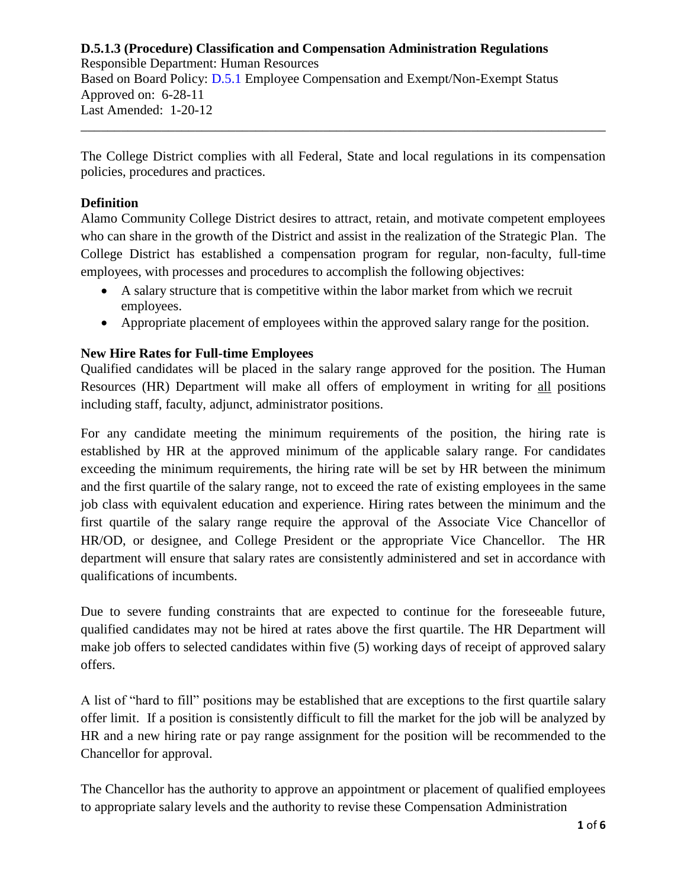Responsible Department: Human Resources Based on Board Policy: [D.5.1](https://www.alamo.edu/siteassets/district/about-us/leadership/board-of-trustees/policies-pdfs/section-d/d.5.1-policy.pdf) Employee Compensation and Exempt/Non-Exempt Status Approved on: 6-28-11 Last Amended: 1-20-12

The College District complies with all Federal, State and local regulations in its compensation policies, procedures and practices.

\_\_\_\_\_\_\_\_\_\_\_\_\_\_\_\_\_\_\_\_\_\_\_\_\_\_\_\_\_\_\_\_\_\_\_\_\_\_\_\_\_\_\_\_\_\_\_\_\_\_\_\_\_\_\_\_\_\_\_\_\_\_\_\_\_\_\_\_\_\_\_\_\_\_\_\_\_\_

# **Definition**

Alamo Community College District desires to attract, retain, and motivate competent employees who can share in the growth of the District and assist in the realization of the Strategic Plan. The College District has established a compensation program for regular, non-faculty, full-time employees, with processes and procedures to accomplish the following objectives:

- A salary structure that is competitive within the labor market from which we recruit employees.
- Appropriate placement of employees within the approved salary range for the position.

# **New Hire Rates for Full-time Employees**

Qualified candidates will be placed in the salary range approved for the position. The Human Resources (HR) Department will make all offers of employment in writing for all positions including staff, faculty, adjunct, administrator positions.

For any candidate meeting the minimum requirements of the position, the hiring rate is established by HR at the approved minimum of the applicable salary range. For candidates exceeding the minimum requirements, the hiring rate will be set by HR between the minimum and the first quartile of the salary range, not to exceed the rate of existing employees in the same job class with equivalent education and experience. Hiring rates between the minimum and the first quartile of the salary range require the approval of the Associate Vice Chancellor of HR/OD, or designee, and College President or the appropriate Vice Chancellor. The HR department will ensure that salary rates are consistently administered and set in accordance with qualifications of incumbents.

Due to severe funding constraints that are expected to continue for the foreseeable future, qualified candidates may not be hired at rates above the first quartile. The HR Department will make job offers to selected candidates within five (5) working days of receipt of approved salary offers.

A list of "hard to fill" positions may be established that are exceptions to the first quartile salary offer limit. If a position is consistently difficult to fill the market for the job will be analyzed by HR and a new hiring rate or pay range assignment for the position will be recommended to the Chancellor for approval.

The Chancellor has the authority to approve an appointment or placement of qualified employees to appropriate salary levels and the authority to revise these Compensation Administration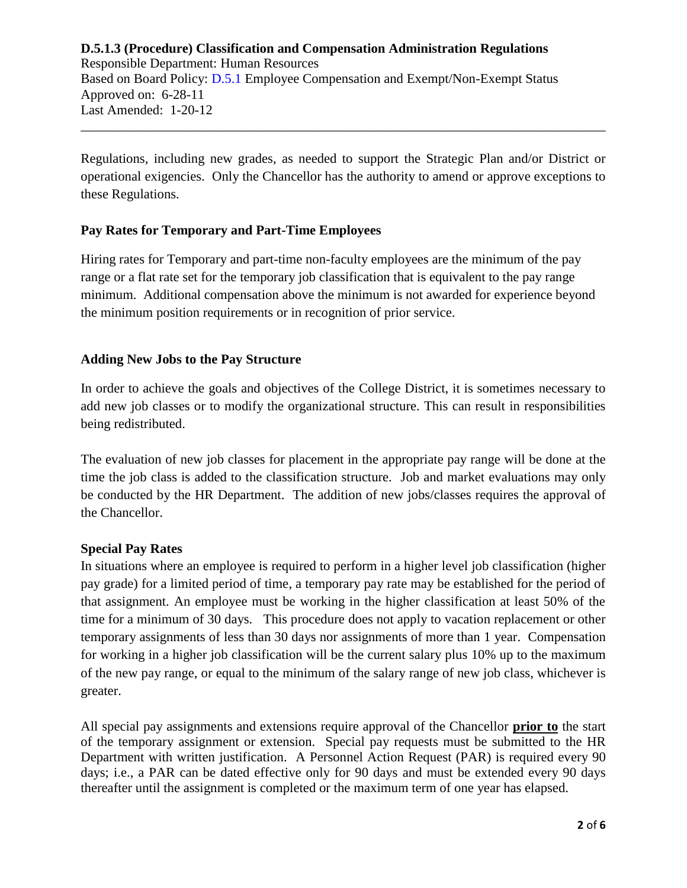# **D.5.1.3 (Procedure) Classification and Compensation Administration Regulations** Responsible Department: Human Resources Based on Board Policy: [D.5.1](https://www.alamo.edu/siteassets/district/about-us/leadership/board-of-trustees/policies-pdfs/section-d/d.5.1-policy.pdf) Employee Compensation and Exempt/Non-Exempt Status Approved on: 6-28-11 Last Amended: 1-20-12 \_\_\_\_\_\_\_\_\_\_\_\_\_\_\_\_\_\_\_\_\_\_\_\_\_\_\_\_\_\_\_\_\_\_\_\_\_\_\_\_\_\_\_\_\_\_\_\_\_\_\_\_\_\_\_\_\_\_\_\_\_\_\_\_\_\_\_\_\_\_\_\_\_\_\_\_\_\_

Regulations, including new grades, as needed to support the Strategic Plan and/or District or operational exigencies. Only the Chancellor has the authority to amend or approve exceptions to these Regulations.

# **Pay Rates for Temporary and Part-Time Employees**

Hiring rates for Temporary and part-time non-faculty employees are the minimum of the pay range or a flat rate set for the temporary job classification that is equivalent to the pay range minimum. Additional compensation above the minimum is not awarded for experience beyond the minimum position requirements or in recognition of prior service.

## **Adding New Jobs to the Pay Structure**

In order to achieve the goals and objectives of the College District, it is sometimes necessary to add new job classes or to modify the organizational structure. This can result in responsibilities being redistributed.

The evaluation of new job classes for placement in the appropriate pay range will be done at the time the job class is added to the classification structure. Job and market evaluations may only be conducted by the HR Department. The addition of new jobs/classes requires the approval of the Chancellor.

## **Special Pay Rates**

In situations where an employee is required to perform in a higher level job classification (higher pay grade) for a limited period of time, a temporary pay rate may be established for the period of that assignment. An employee must be working in the higher classification at least 50% of the time for a minimum of 30 days. This procedure does not apply to vacation replacement or other temporary assignments of less than 30 days nor assignments of more than 1 year. Compensation for working in a higher job classification will be the current salary plus 10% up to the maximum of the new pay range, or equal to the minimum of the salary range of new job class, whichever is greater.

All special pay assignments and extensions require approval of the Chancellor **prior to** the start of the temporary assignment or extension. Special pay requests must be submitted to the HR Department with written justification. A Personnel Action Request (PAR) is required every 90 days; i.e., a PAR can be dated effective only for 90 days and must be extended every 90 days thereafter until the assignment is completed or the maximum term of one year has elapsed.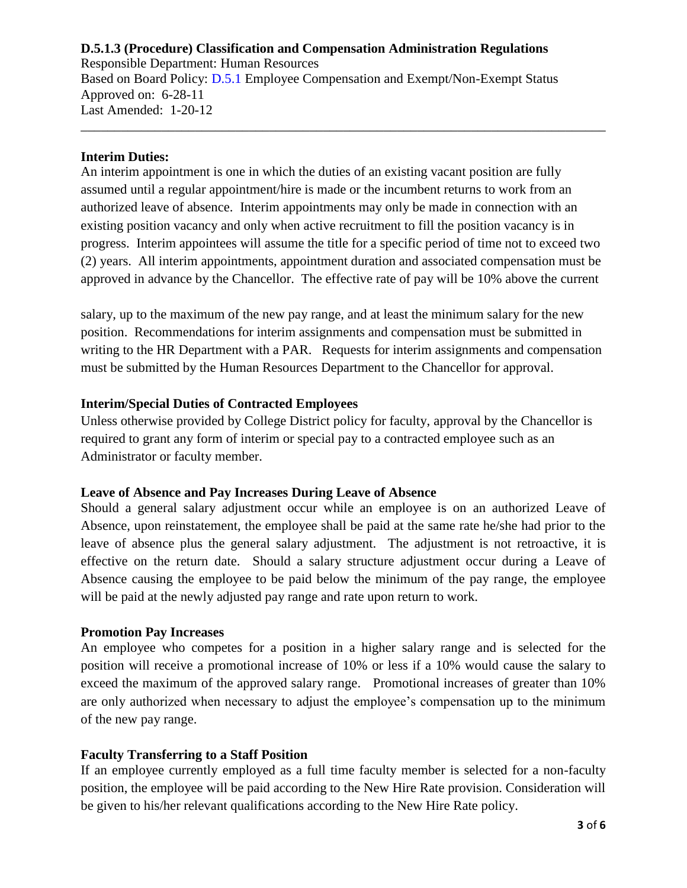Responsible Department: Human Resources Based on Board Policy: [D.5.1](https://www.alamo.edu/siteassets/district/about-us/leadership/board-of-trustees/policies-pdfs/section-d/d.5.1-policy.pdf) Employee Compensation and Exempt/Non-Exempt Status Approved on: 6-28-11 Last Amended: 1-20-12

## **Interim Duties:**

An interim appointment is one in which the duties of an existing vacant position are fully assumed until a regular appointment/hire is made or the incumbent returns to work from an authorized leave of absence. Interim appointments may only be made in connection with an existing position vacancy and only when active recruitment to fill the position vacancy is in progress. Interim appointees will assume the title for a specific period of time not to exceed two (2) years. All interim appointments, appointment duration and associated compensation must be approved in advance by the Chancellor. The effective rate of pay will be 10% above the current

\_\_\_\_\_\_\_\_\_\_\_\_\_\_\_\_\_\_\_\_\_\_\_\_\_\_\_\_\_\_\_\_\_\_\_\_\_\_\_\_\_\_\_\_\_\_\_\_\_\_\_\_\_\_\_\_\_\_\_\_\_\_\_\_\_\_\_\_\_\_\_\_\_\_\_\_\_\_

salary, up to the maximum of the new pay range, and at least the minimum salary for the new position. Recommendations for interim assignments and compensation must be submitted in writing to the HR Department with a PAR. Requests for interim assignments and compensation must be submitted by the Human Resources Department to the Chancellor for approval.

# **Interim/Special Duties of Contracted Employees**

Unless otherwise provided by College District policy for faculty, approval by the Chancellor is required to grant any form of interim or special pay to a contracted employee such as an Administrator or faculty member.

### **Leave of Absence and Pay Increases During Leave of Absence**

Should a general salary adjustment occur while an employee is on an authorized Leave of Absence, upon reinstatement, the employee shall be paid at the same rate he/she had prior to the leave of absence plus the general salary adjustment. The adjustment is not retroactive, it is effective on the return date. Should a salary structure adjustment occur during a Leave of Absence causing the employee to be paid below the minimum of the pay range, the employee will be paid at the newly adjusted pay range and rate upon return to work.

## **Promotion Pay Increases**

An employee who competes for a position in a higher salary range and is selected for the position will receive a promotional increase of 10% or less if a 10% would cause the salary to exceed the maximum of the approved salary range. Promotional increases of greater than 10% are only authorized when necessary to adjust the employee's compensation up to the minimum of the new pay range.

## **Faculty Transferring to a Staff Position**

If an employee currently employed as a full time faculty member is selected for a non-faculty position, the employee will be paid according to the New Hire Rate provision. Consideration will be given to his/her relevant qualifications according to the New Hire Rate policy.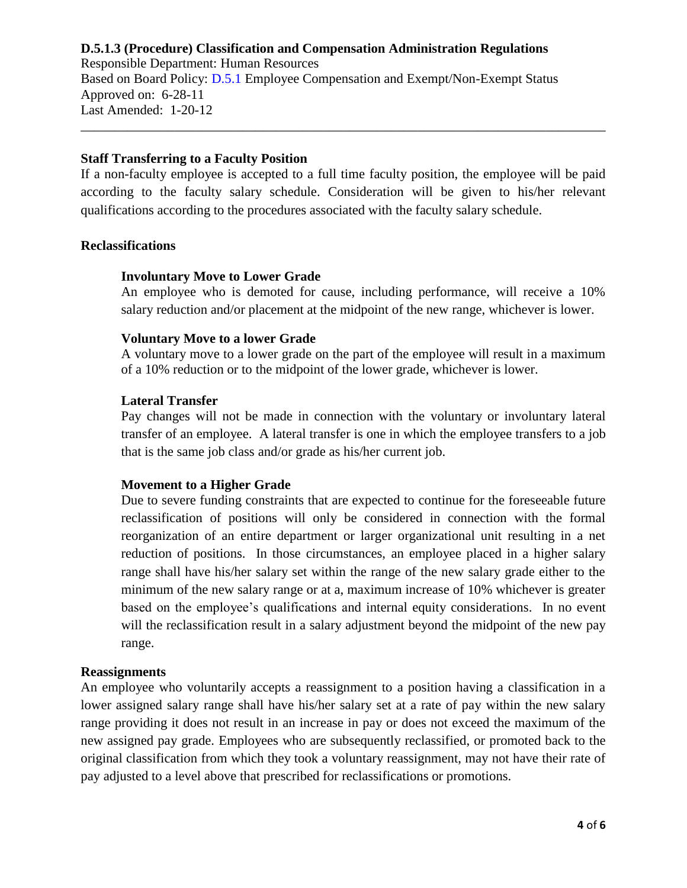Responsible Department: Human Resources Based on Board Policy: [D.5.1](https://www.alamo.edu/siteassets/district/about-us/leadership/board-of-trustees/policies-pdfs/section-d/d.5.1-policy.pdf) Employee Compensation and Exempt/Non-Exempt Status Approved on: 6-28-11 Last Amended: 1-20-12

### **Staff Transferring to a Faculty Position**

If a non-faculty employee is accepted to a full time faculty position, the employee will be paid according to the faculty salary schedule. Consideration will be given to his/her relevant qualifications according to the procedures associated with the faculty salary schedule.

\_\_\_\_\_\_\_\_\_\_\_\_\_\_\_\_\_\_\_\_\_\_\_\_\_\_\_\_\_\_\_\_\_\_\_\_\_\_\_\_\_\_\_\_\_\_\_\_\_\_\_\_\_\_\_\_\_\_\_\_\_\_\_\_\_\_\_\_\_\_\_\_\_\_\_\_\_\_

#### **Reclassifications**

#### **Involuntary Move to Lower Grade**

An employee who is demoted for cause, including performance, will receive a 10% salary reduction and/or placement at the midpoint of the new range, whichever is lower.

#### **Voluntary Move to a lower Grade**

A voluntary move to a lower grade on the part of the employee will result in a maximum of a 10% reduction or to the midpoint of the lower grade, whichever is lower.

#### **Lateral Transfer**

Pay changes will not be made in connection with the voluntary or involuntary lateral transfer of an employee. A lateral transfer is one in which the employee transfers to a job that is the same job class and/or grade as his/her current job.

### **Movement to a Higher Grade**

Due to severe funding constraints that are expected to continue for the foreseeable future reclassification of positions will only be considered in connection with the formal reorganization of an entire department or larger organizational unit resulting in a net reduction of positions. In those circumstances, an employee placed in a higher salary range shall have his/her salary set within the range of the new salary grade either to the minimum of the new salary range or at a, maximum increase of 10% whichever is greater based on the employee's qualifications and internal equity considerations. In no event will the reclassification result in a salary adjustment beyond the midpoint of the new pay range.

#### **Reassignments**

An employee who voluntarily accepts a reassignment to a position having a classification in a lower assigned salary range shall have his/her salary set at a rate of pay within the new salary range providing it does not result in an increase in pay or does not exceed the maximum of the new assigned pay grade. Employees who are subsequently reclassified, or promoted back to the original classification from which they took a voluntary reassignment, may not have their rate of pay adjusted to a level above that prescribed for reclassifications or promotions.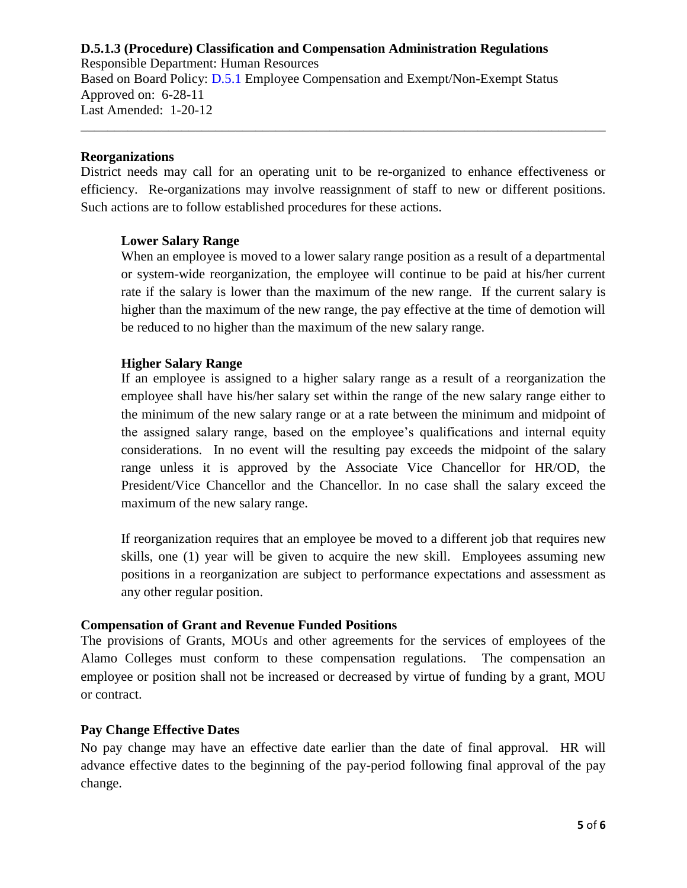Responsible Department: Human Resources Based on Board Policy: [D.5.1](https://www.alamo.edu/siteassets/district/about-us/leadership/board-of-trustees/policies-pdfs/section-d/d.5.1-policy.pdf) Employee Compensation and Exempt/Non-Exempt Status Approved on: 6-28-11 Last Amended: 1-20-12

#### **Reorganizations**

District needs may call for an operating unit to be re-organized to enhance effectiveness or efficiency. Re-organizations may involve reassignment of staff to new or different positions. Such actions are to follow established procedures for these actions.

\_\_\_\_\_\_\_\_\_\_\_\_\_\_\_\_\_\_\_\_\_\_\_\_\_\_\_\_\_\_\_\_\_\_\_\_\_\_\_\_\_\_\_\_\_\_\_\_\_\_\_\_\_\_\_\_\_\_\_\_\_\_\_\_\_\_\_\_\_\_\_\_\_\_\_\_\_\_

### **Lower Salary Range**

When an employee is moved to a lower salary range position as a result of a departmental or system-wide reorganization, the employee will continue to be paid at his/her current rate if the salary is lower than the maximum of the new range. If the current salary is higher than the maximum of the new range, the pay effective at the time of demotion will be reduced to no higher than the maximum of the new salary range.

### **Higher Salary Range**

If an employee is assigned to a higher salary range as a result of a reorganization the employee shall have his/her salary set within the range of the new salary range either to the minimum of the new salary range or at a rate between the minimum and midpoint of the assigned salary range, based on the employee's qualifications and internal equity considerations. In no event will the resulting pay exceeds the midpoint of the salary range unless it is approved by the Associate Vice Chancellor for HR/OD, the President/Vice Chancellor and the Chancellor. In no case shall the salary exceed the maximum of the new salary range.

If reorganization requires that an employee be moved to a different job that requires new skills, one (1) year will be given to acquire the new skill. Employees assuming new positions in a reorganization are subject to performance expectations and assessment as any other regular position.

#### **Compensation of Grant and Revenue Funded Positions**

The provisions of Grants, MOUs and other agreements for the services of employees of the Alamo Colleges must conform to these compensation regulations. The compensation an employee or position shall not be increased or decreased by virtue of funding by a grant, MOU or contract.

### **Pay Change Effective Dates**

No pay change may have an effective date earlier than the date of final approval. HR will advance effective dates to the beginning of the pay-period following final approval of the pay change.